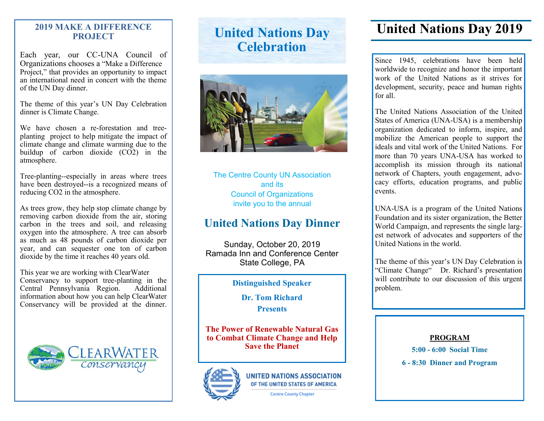#### **2019 MAKE A DIFFERENCE PROJECT**

Each year, our CC-UNA Council of Organizations chooses a "Make a Difference Project," that provides an opportunity to impact an international need in concert with the theme of the UN Day dinner.

The theme of this year's UN Day Celebration dinner is Climate Change.

We have chosen a re-forestation and treeplanting project to help mitigate the impact of climate change and climate warming due to the buildup of carbon dioxide (CO2) in the atmosphere.

Tree-planting--especially in areas where trees have been destroyed--is a recognized means of reducing CO2 in the atmosphere.

As trees grow, they help stop climate change by removing carbon dioxide from the air, storing carbon in the trees and soil, and releasing oxygen into the atmosphere. A tree can absorb as much as 48 pounds of carbon dioxide per year, and can sequester one ton of carbon dioxide by the time it reaches 40 years old.

This year we are working with ClearWater Conservancy to support tree-planting in the Central Pennsylvania Region. Additional information about how you can help ClearWater Conservancy will be provided at the dinner.



# **United Nations Day Celebration**



The Centre County UN Association and its Council of Organizations invite you to the annual

## **United Nations Day Dinner**

Sunday, October 20, 2019 Ramada Inn and Conference Center State College, PA

**Distinguished Speaker** 

**Dr. Tom Richard Presents** 

**The Power of Renewable Natural Gas to Combat Climate Change and Help Save the Planet**



**UNITED NATIONS ASSOCIATION** OF THE UNITED STATES OF AMERICA

**Centre County Chapter** 

## **United Nations Day 2019**

Since 1945, celebrations have been held worldwide to recognize and honor the important work of the United Nations as it strives for development, security, peace and human rights for all.

The United Nations Association of the United States of America (UNA-USA) is a membership organization dedicated to inform, inspire, and mobilize the American people to support the ideals and vital work of the United Nations. For more than 70 years UNA-USA has worked to accomplish its mission through its national network of Chapters, youth engagement, advocacy efforts, education programs, and public events.

UNA-USA is a program of the United Nations Foundation and its sister organization, the Better World Campaign, and represents the single largest network of advocates and supporters of the United Nations in the world.

The theme of this year's UN Day Celebration is "Climate Change" Dr. Richard's presentation will contribute to our discussion of this urgent problem.

#### **PROGRAM**

**5:00 - 6:00 Social Time**

**6 - 8:30 Dinner and Program**